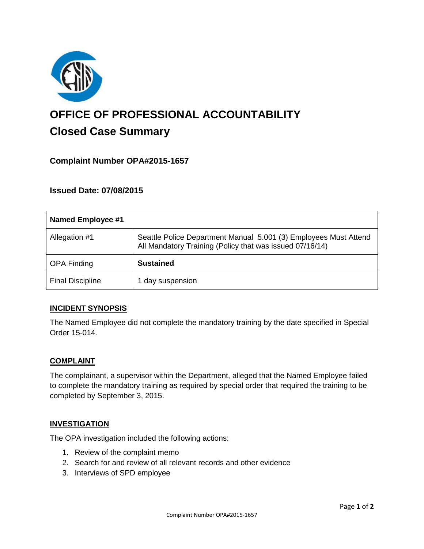

# **OFFICE OF PROFESSIONAL ACCOUNTABILITY Closed Case Summary**

# **Complaint Number OPA#2015-1657**

## **Issued Date: 07/08/2015**

| <b>Named Employee #1</b> |                                                                                                                              |
|--------------------------|------------------------------------------------------------------------------------------------------------------------------|
| Allegation #1            | Seattle Police Department Manual 5.001 (3) Employees Must Attend<br>All Mandatory Training (Policy that was issued 07/16/14) |
| <b>OPA Finding</b>       | <b>Sustained</b>                                                                                                             |
| <b>Final Discipline</b>  | 1 day suspension                                                                                                             |

## **INCIDENT SYNOPSIS**

The Named Employee did not complete the mandatory training by the date specified in Special Order 15-014.

#### **COMPLAINT**

The complainant, a supervisor within the Department, alleged that the Named Employee failed to complete the mandatory training as required by special order that required the training to be completed by September 3, 2015.

#### **INVESTIGATION**

The OPA investigation included the following actions:

- 1. Review of the complaint memo
- 2. Search for and review of all relevant records and other evidence
- 3. Interviews of SPD employee